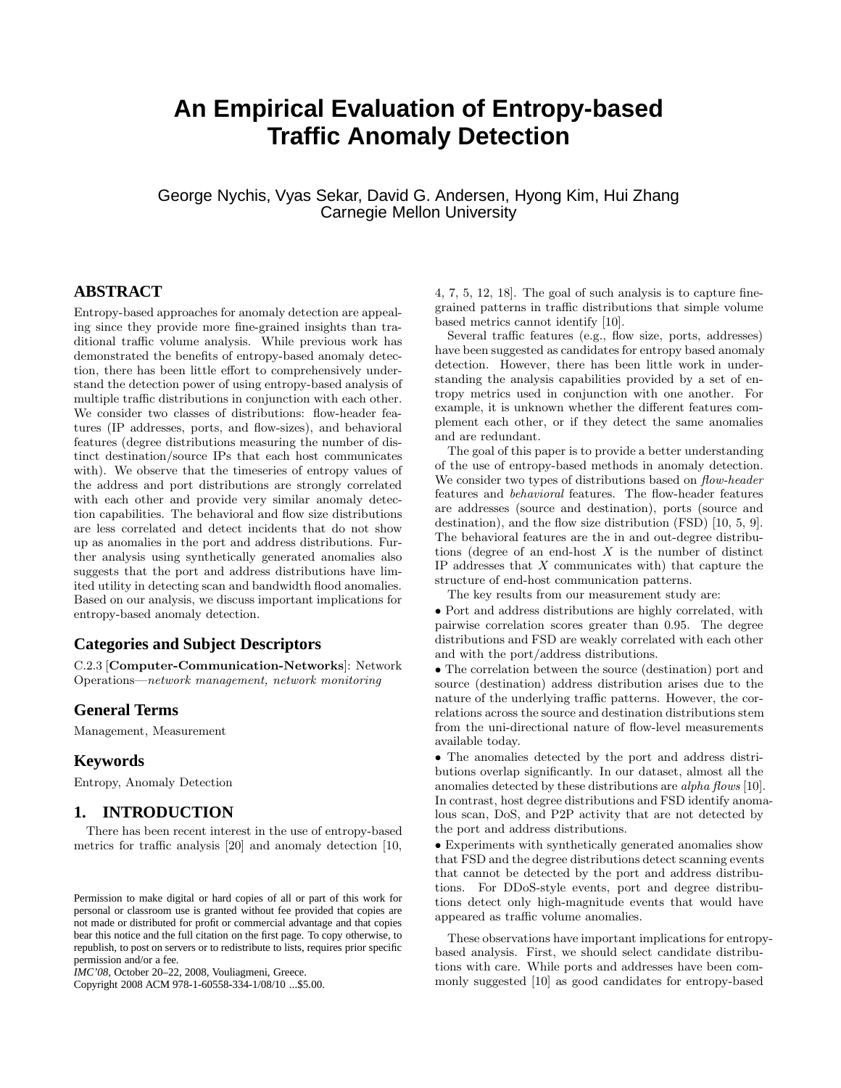# **An Empirical Evaluation of Entropy-based Traffic Anomaly Detection**

George Nychis, Vyas Sekar, David G. Andersen, Hyong Kim, Hui Zhang Carnegie Mellon University

## **ABSTRACT**

Entropy-based approaches for anomaly detection are appealing since they provide more fine-grained insights than traditional traffic volume analysis. While previous work has demonstrated the benefits of entropy-based anomaly detection, there has been little effort to comprehensively understand the detection power of using entropy-based analysis of multiple traffic distributions in conjunction with each other. We consider two classes of distributions: flow-header features (IP addresses, ports, and flow-sizes), and behavioral features (degree distributions measuring the number of distinct destination/source IPs that each host communicates with). We observe that the timeseries of entropy values of the address and port distributions are strongly correlated with each other and provide very similar anomaly detection capabilities. The behavioral and flow size distributions are less correlated and detect incidents that do not show up as anomalies in the port and address distributions. Further analysis using synthetically generated anomalies also suggests that the port and address distributions have limited utility in detecting scan and bandwidth flood anomalies. Based on our analysis, we discuss important implications for entropy-based anomaly detection.

#### **Categories and Subject Descriptors**

C.2.3 [Computer-Communication-Networks]: Network Operations—network management, network monitoring

#### **General Terms**

Management, Measurement

### **Keywords**

Entropy, Anomaly Detection

## **1. INTRODUCTION**

There has been recent interest in the use of entropy-based metrics for traffic analysis [20] and anomaly detection [10,

Copyright 2008 ACM 978-1-60558-334-1/08/10 ...\$5.00.

4, 7, 5, 12, 18]. The goal of such analysis is to capture finegrained patterns in traffic distributions that simple volume based metrics cannot identify [10].

Several traffic features (e.g., flow size, ports, addresses) have been suggested as candidates for entropy based anomaly detection. However, there has been little work in understanding the analysis capabilities provided by a set of entropy metrics used in conjunction with one another. For example, it is unknown whether the different features complement each other, or if they detect the same anomalies and are redundant.

The goal of this paper is to provide a better understanding of the use of entropy-based methods in anomaly detection. We consider two types of distributions based on *flow-header* features and behavioral features. The flow-header features are addresses (source and destination), ports (source and destination), and the flow size distribution (FSD) [10, 5, 9]. The behavioral features are the in and out-degree distributions (degree of an end-host  $X$  is the number of distinct IP addresses that  $X$  communicates with) that capture the structure of end-host communication patterns.

The key results from our measurement study are:

• Port and address distributions are highly correlated, with pairwise correlation scores greater than 0.95. The degree distributions and FSD are weakly correlated with each other and with the port/address distributions.

• The correlation between the source (destination) port and source (destination) address distribution arises due to the nature of the underlying traffic patterns. However, the correlations across the source and destination distributions stem from the uni-directional nature of flow-level measurements available today.

• The anomalies detected by the port and address distributions overlap significantly. In our dataset, almost all the anomalies detected by these distributions are *alpha flows* [10]. In contrast, host degree distributions and FSD identify anomalous scan, DoS, and P2P activity that are not detected by the port and address distributions.

• Experiments with synthetically generated anomalies show that FSD and the degree distributions detect scanning events that cannot be detected by the port and address distributions. For DDoS-style events, port and degree distributions detect only high-magnitude events that would have appeared as traffic volume anomalies.

These observations have important implications for entropybased analysis. First, we should select candidate distributions with care. While ports and addresses have been commonly suggested [10] as good candidates for entropy-based

Permission to make digital or hard copies of all or part of this work for personal or classroom use is granted without fee provided that copies are not made or distributed for profit or commercial advantage and that copies bear this notice and the full citation on the first page. To copy otherwise, to republish, to post on servers or to redistribute to lists, requires prior specific permission and/or a fee.

*IMC'08,* October 20–22, 2008, Vouliagmeni, Greece.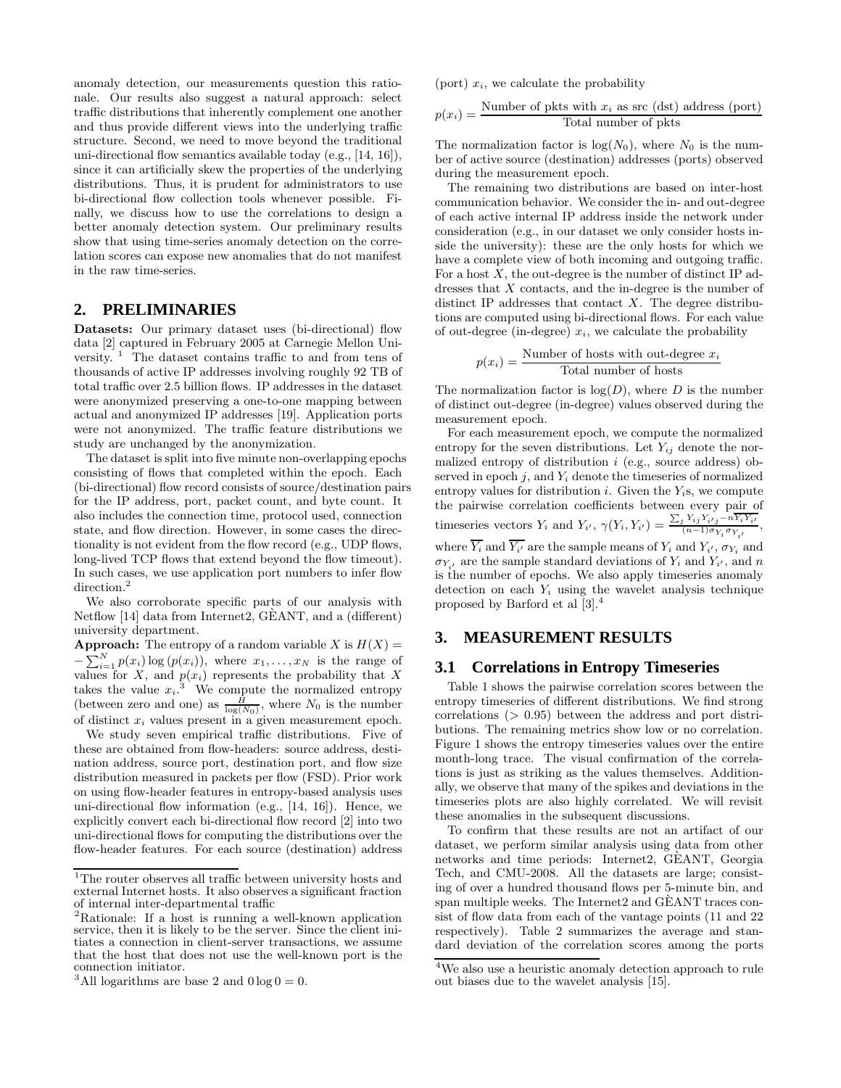anomaly detection, our measurements question this rationale. Our results also suggest a natural approach: select traffic distributions that inherently complement one another and thus provide different views into the underlying traffic structure. Second, we need to move beyond the traditional uni-directional flow semantics available today (e.g., [14, 16]), since it can artificially skew the properties of the underlying distributions. Thus, it is prudent for administrators to use bi-directional flow collection tools whenever possible. Finally, we discuss how to use the correlations to design a better anomaly detection system. Our preliminary results show that using time-series anomaly detection on the correlation scores can expose new anomalies that do not manifest in the raw time-series.

## **2. PRELIMINARIES**

Datasets: Our primary dataset uses (bi-directional) flow data [2] captured in February 2005 at Carnegie Mellon University.  $\frac{1}{1}$  The dataset contains traffic to and from tens of thousands of active IP addresses involving roughly 92 TB of total traffic over 2.5 billion flows. IP addresses in the dataset were anonymized preserving a one-to-one mapping between actual and anonymized IP addresses [19]. Application ports were not anonymized. The traffic feature distributions we study are unchanged by the anonymization.

The dataset is split into five minute non-overlapping epochs consisting of flows that completed within the epoch. Each (bi-directional) flow record consists of source/destination pairs for the IP address, port, packet count, and byte count. It also includes the connection time, protocol used, connection state, and flow direction. However, in some cases the directionality is not evident from the flow record (e.g., UDP flows, long-lived TCP flows that extend beyond the flow timeout). In such cases, we use application port numbers to infer flow  $\rm direction.$   $^2$ 

We also corroborate specific parts of our analysis with Netflow [14] data from Internet2, GEANT, and a (different) ` university department.

**Approach:** The entropy of a random variable X is  $H(X) =$  $-\sum_{i=1}^{N} p(x_i) \log (p(x_i))$ , where  $x_1, \ldots, x_N$  is the range of values for X, and  $p(x_i)$  represents the probability that X takes the value  $x_i$ <sup>3</sup>. We compute the normalized entropy (between zero and one) as  $\frac{H}{\log(N_0)}$ , where  $N_0$  is the number of distinct  $x_i$  values present in a given measurement epoch.

We study seven empirical traffic distributions. Five of these are obtained from flow-headers: source address, destination address, source port, destination port, and flow size distribution measured in packets per flow (FSD). Prior work on using flow-header features in entropy-based analysis uses uni-directional flow information (e.g., [14, 16]). Hence, we explicitly convert each bi-directional flow record [2] into two uni-directional flows for computing the distributions over the flow-header features. For each source (destination) address

(port)  $x_i$ , we calculate the probability

$$
p(x_i) = \frac{\text{Number of pkts with } x_i \text{ as src (dst) address (port)}}{\text{Total number of pkts}}
$$

The normalization factor is  $log(N_0)$ , where  $N_0$  is the number of active source (destination) addresses (ports) observed during the measurement epoch.

The remaining two distributions are based on inter-host communication behavior. We consider the in- and out-degree of each active internal IP address inside the network under consideration (e.g., in our dataset we only consider hosts inside the university): these are the only hosts for which we have a complete view of both incoming and outgoing traffic. For a host  $X$ , the out-degree is the number of distinct IP addresses that  $X$  contacts, and the in-degree is the number of distinct IP addresses that contact  $X$ . The degree distributions are computed using bi-directional flows. For each value of out-degree (in-degree)  $x_i$ , we calculate the probability

$$
p(x_i) = \frac{\text{Number of hosts with out-degree } x_i}{\text{Total number of hosts}}
$$

The normalization factor is  $log(D)$ , where D is the number of distinct out-degree (in-degree) values observed during the measurement epoch.

For each measurement epoch, we compute the normalized entropy for the seven distributions. Let  $Y_{ij}$  denote the normalized entropy of distribution  $i$  (e.g., source address) observed in epoch  $j$ , and  $Y_i$  denote the timeseries of normalized entropy values for distribution  $i$ . Given the  $Y_i$ s, we compute the pairwise correlation coefficients between every pair of timeseries vectors  $Y_i$  and  $Y_{i'}$ ,  $\gamma(Y_i, Y_{i'}) = \frac{\sum_j Y_{ij} Y_{i'j} - n \overline{Y_i Y_{i'}}}{(n-1)\sigma_{Y_i} \sigma_{Y_{i'}}},$ 

where  $Y_i$  and  $Y_{i'}$  are the sample means of  $Y_i$  and  $Y_{i'}, \sigma_{Y_i}$  and  $\sigma_{Y_{i'}}$  are the sample standard deviations of  $Y_i$  and  $Y_{i'}$ , and n is the number of epochs. We also apply timeseries anomaly detection on each  $Y_i$  using the wavelet analysis technique proposed by Barford et al [3].<sup>4</sup>

# **3. MEASUREMENT RESULTS**

#### **3.1 Correlations in Entropy Timeseries**

Table 1 shows the pairwise correlation scores between the entropy timeseries of different distributions. We find strong correlations (> 0.95) between the address and port distributions. The remaining metrics show low or no correlation. Figure 1 shows the entropy timeseries values over the entire month-long trace. The visual confirmation of the correlations is just as striking as the values themselves. Additionally, we observe that many of the spikes and deviations in the timeseries plots are also highly correlated. We will revisit these anomalies in the subsequent discussions.

To confirm that these results are not an artifact of our dataset, we perform similar analysis using data from other networks and time periods: Internet2, GEANT, Georgia Tech, and CMU-2008. All the datasets are large; consisting of over a hundred thousand flows per 5-minute bin, and span multiple weeks. The Internet2 and GEANT traces consist of flow data from each of the vantage points (11 and 22 respectively). Table 2 summarizes the average and standard deviation of the correlation scores among the ports

<sup>&</sup>lt;sup>1</sup>The router observes all traffic between university hosts and external Internet hosts. It also observes a significant fraction of internal inter-departmental traffic

<sup>2</sup>Rationale: If a host is running a well-known application service, then it is likely to be the server. Since the client initiates a connection in client-server transactions, we assume that the host that does not use the well-known port is the connection initiator.

<sup>&</sup>lt;sup>3</sup>All logarithms are base 2 and  $0 \log 0 = 0$ .

<sup>4</sup>We also use a heuristic anomaly detection approach to rule out biases due to the wavelet analysis [15].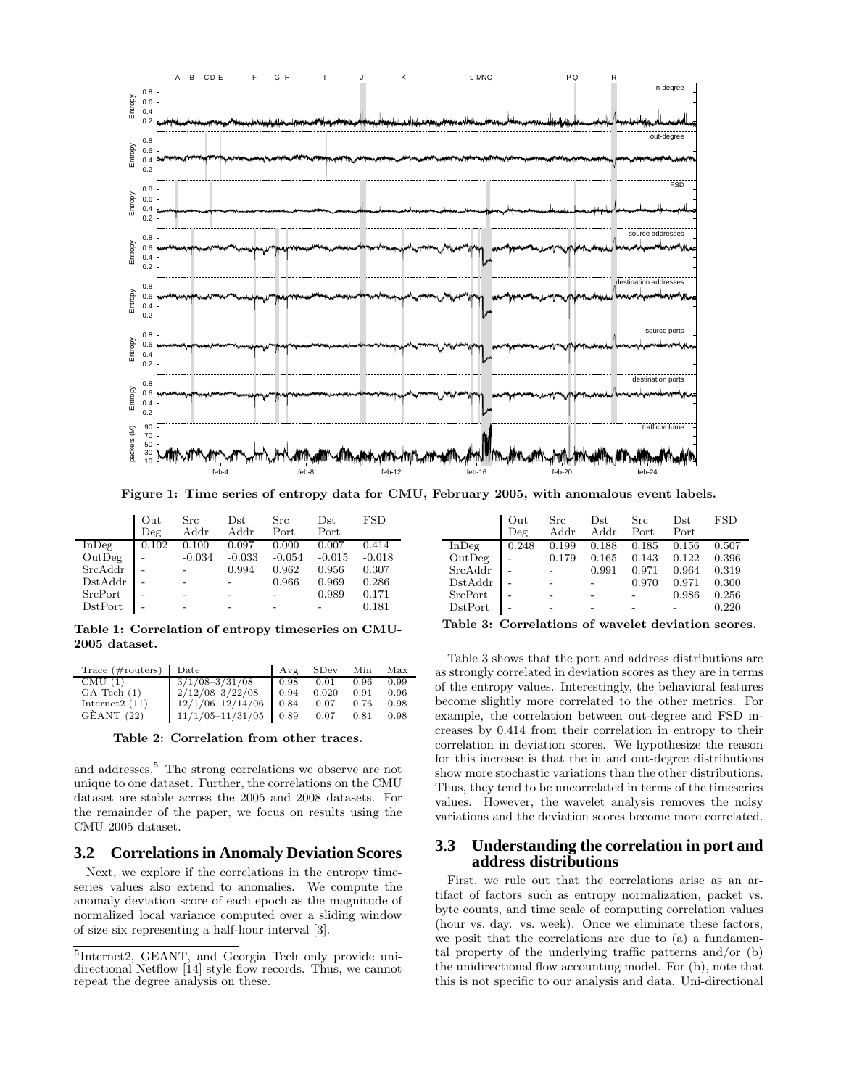

Figure 1: Time series of entropy data for CMU, February 2005, with anomalous event labels.

|                  | Out<br>Deg | Src<br>Addr | $_{\rm Dst}$<br>Addr | Src<br>Port | $_{\rm Dst}$<br>Port | <b>FSD</b> |
|------------------|------------|-------------|----------------------|-------------|----------------------|------------|
| $In$ Deg         | 0.102      | 0.100       | 0.097                | 0.000       | 0.007                | 0.414      |
| OutDeg           |            | $-0.034$    | $-0.033$             | $-0.054$    | $-0.015$             | $-0.018$   |
| SrcAddr          |            |             | 0.994                | 0.962       | 0.956                | 0.307      |
| DstAddr          |            |             |                      | 0.966       | 0.969                | 0.286      |
| SrcPort          |            |             |                      |             | 0.989                | 0.171      |
| $_{\rm DstPort}$ |            |             |                      |             |                      | 0.181      |

Table 1: Correlation of entropy timeseries on CMU-2005 dataset.

| Trace $(\text{\#routers})$ Date |                            | l Avg | SDev  | Min  | Max  |
|---------------------------------|----------------------------|-------|-------|------|------|
| CMU(1)                          | $3/1/08 - \frac{3}{31/08}$ | 0.98  | 0.01  | 0.96 | 0.99 |
| $GA$ Tech $(1)$                 | $2/12/08 - 3/22/08$        | 0.94  | 0.020 | 0.91 | 0.96 |
| Internet $2(11)$                | $12/1/06 - 12/14/06$       | 0.84  | 0.07  | 0.76 | 0.98 |
| GÈANT (22)                      | $11/1/05 - 11/31/05$ 0.89  |       | 0.07  | 0.81 | 0.98 |

Table 2: Correlation from other traces.

and addresses.<sup>5</sup> The strong correlations we observe are not unique to one dataset. Further, the correlations on the CMU dataset are stable across the 2005 and 2008 datasets. For the remainder of the paper, we focus on results using the CMU 2005 dataset.

#### **3.2 Correlations in Anomaly Deviation Scores**

Next, we explore if the correlations in the entropy timeseries values also extend to anomalies. We compute the anomaly deviation score of each epoch as the magnitude of normalized local variance computed over a sliding window of size six representing a half-hour interval [3].

|          | Out   | Src   | $_{\rm Dst}$ | <b>Src</b> | $_{\rm Dst}$ | <b>FSD</b> |
|----------|-------|-------|--------------|------------|--------------|------------|
|          | Deg   | Addr  | Addr         | Port       | Port         |            |
| $In$ Deg | 0.248 | 0.199 | 0.188        | 0.185      | 0.156        | 0.507      |
| OutDeg   |       | 0.179 | 0.165        | 0.143      | 0.122        | 0.396      |
| SrcAddr  |       |       | 0.991        | 0.971      | 0.964        | 0.319      |
| DstAddr  |       |       |              | 0.970      | 0.971        | 0.300      |
| SrcPort  |       |       |              |            | 0.986        | 0.256      |
| DstPort  |       |       |              |            |              | 0.220      |

Table 3: Correlations of wavelet deviation scores.

Table 3 shows that the port and address distributions are as strongly correlated in deviation scores as they are in terms of the entropy values. Interestingly, the behavioral features become slightly more correlated to the other metrics. For example, the correlation between out-degree and FSD increases by 0.414 from their correlation in entropy to their correlation in deviation scores. We hypothesize the reason for this increase is that the in and out-degree distributions show more stochastic variations than the other distributions. Thus, they tend to be uncorrelated in terms of the timeseries values. However, the wavelet analysis removes the noisy variations and the deviation scores become more correlated.

#### **3.3 Understanding the correlation in port and address distributions**

First, we rule out that the correlations arise as an artifact of factors such as entropy normalization, packet vs. byte counts, and time scale of computing correlation values (hour vs. day. vs. week). Once we eliminate these factors, we posit that the correlations are due to (a) a fundamental property of the underlying traffic patterns and/or (b) the unidirectional flow accounting model. For (b), note that this is not specific to our analysis and data. Uni-directional

<sup>5</sup> Internet2, GEANT, and Georgia Tech only provide unidirectional Netflow [14] style flow records. Thus, we cannot repeat the degree analysis on these.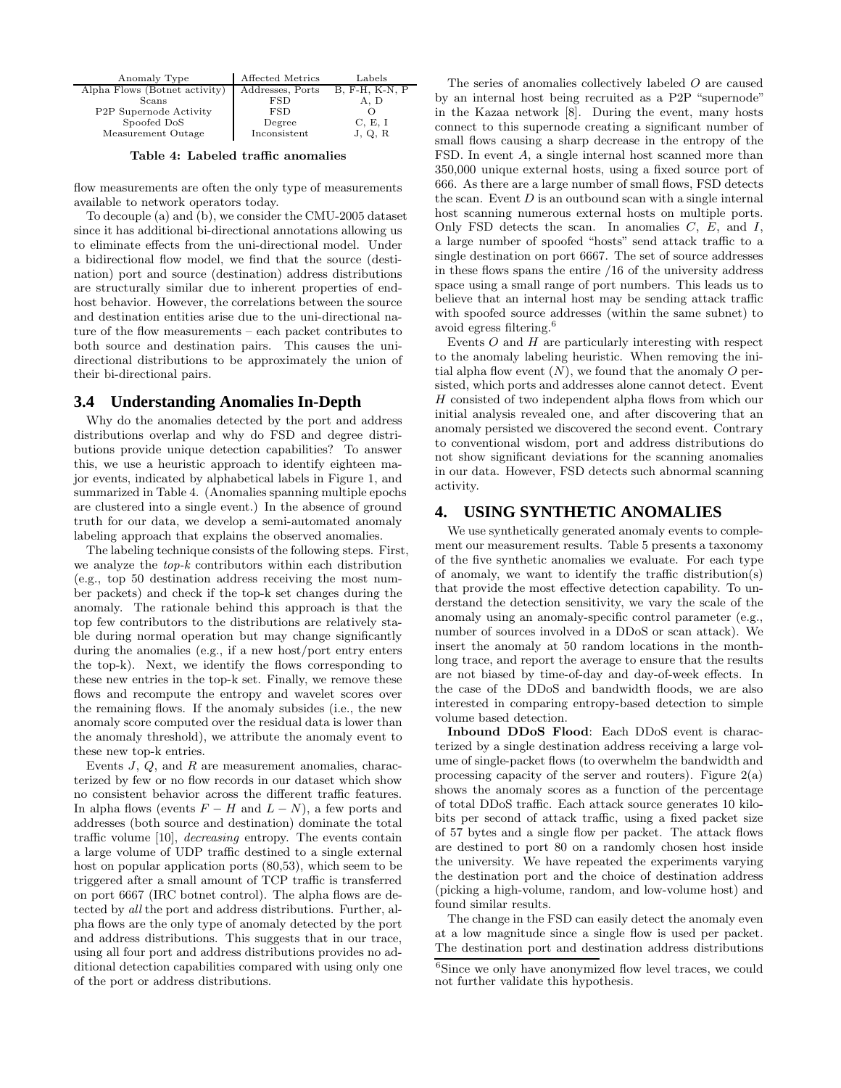| Anomaly Type                  | Affected Metrics | Labels           |
|-------------------------------|------------------|------------------|
| Alpha Flows (Botnet activity) | Addresses, Ports | $B, F-H, K-N, P$ |
| Scans                         | <b>FSD</b>       | A, D             |
| P2P Supernode Activity        | <b>FSD</b>       |                  |
| Spoofed DoS                   | Degree           | C, E, I          |
| Measurement Outage            | Inconsistent     | J, Q, R          |

Table 4: Labeled traffic anomalies

flow measurements are often the only type of measurements available to network operators today.

To decouple (a) and (b), we consider the CMU-2005 dataset since it has additional bi-directional annotations allowing us to eliminate effects from the uni-directional model. Under a bidirectional flow model, we find that the source (destination) port and source (destination) address distributions are structurally similar due to inherent properties of endhost behavior. However, the correlations between the source and destination entities arise due to the uni-directional nature of the flow measurements – each packet contributes to both source and destination pairs. This causes the unidirectional distributions to be approximately the union of their bi-directional pairs.

#### **3.4 Understanding Anomalies In-Depth**

Why do the anomalies detected by the port and address distributions overlap and why do FSD and degree distributions provide unique detection capabilities? To answer this, we use a heuristic approach to identify eighteen major events, indicated by alphabetical labels in Figure 1, and summarized in Table 4. (Anomalies spanning multiple epochs are clustered into a single event.) In the absence of ground truth for our data, we develop a semi-automated anomaly labeling approach that explains the observed anomalies.

The labeling technique consists of the following steps. First, we analyze the top-k contributors within each distribution (e.g., top 50 destination address receiving the most number packets) and check if the top-k set changes during the anomaly. The rationale behind this approach is that the top few contributors to the distributions are relatively stable during normal operation but may change significantly during the anomalies (e.g., if a new host/port entry enters the top-k). Next, we identify the flows corresponding to these new entries in the top-k set. Finally, we remove these flows and recompute the entropy and wavelet scores over the remaining flows. If the anomaly subsides (i.e., the new anomaly score computed over the residual data is lower than the anomaly threshold), we attribute the anomaly event to these new top-k entries.

Events J, Q, and R are measurement anomalies, characterized by few or no flow records in our dataset which show no consistent behavior across the different traffic features. In alpha flows (events  $F - H$  and  $L - N$ ), a few ports and addresses (both source and destination) dominate the total traffic volume [10], decreasing entropy. The events contain a large volume of UDP traffic destined to a single external host on popular application ports (80,53), which seem to be triggered after a small amount of TCP traffic is transferred on port 6667 (IRC botnet control). The alpha flows are detected by all the port and address distributions. Further, alpha flows are the only type of anomaly detected by the port and address distributions. This suggests that in our trace, using all four port and address distributions provides no additional detection capabilities compared with using only one of the port or address distributions.

The series of anomalies collectively labeled O are caused by an internal host being recruited as a P2P "supernode" in the Kazaa network [8]. During the event, many hosts connect to this supernode creating a significant number of small flows causing a sharp decrease in the entropy of the FSD. In event A, a single internal host scanned more than 350,000 unique external hosts, using a fixed source port of 666. As there are a large number of small flows, FSD detects the scan. Event  $D$  is an outbound scan with a single internal host scanning numerous external hosts on multiple ports. Only FSD detects the scan. In anomalies  $C, E,$  and  $I,$ a large number of spoofed "hosts" send attack traffic to a single destination on port 6667. The set of source addresses in these flows spans the entire /16 of the university address space using a small range of port numbers. This leads us to believe that an internal host may be sending attack traffic with spoofed source addresses (within the same subnet) to avoid egress filtering.<sup>6</sup>

Events  $O$  and  $H$  are particularly interesting with respect to the anomaly labeling heuristic. When removing the initial alpha flow event  $(N)$ , we found that the anomaly O persisted, which ports and addresses alone cannot detect. Event H consisted of two independent alpha flows from which our initial analysis revealed one, and after discovering that an anomaly persisted we discovered the second event. Contrary to conventional wisdom, port and address distributions do not show significant deviations for the scanning anomalies in our data. However, FSD detects such abnormal scanning activity.

#### **4. USING SYNTHETIC ANOMALIES**

We use synthetically generated anomaly events to complement our measurement results. Table 5 presents a taxonomy of the five synthetic anomalies we evaluate. For each type of anomaly, we want to identify the traffic distribution(s) that provide the most effective detection capability. To understand the detection sensitivity, we vary the scale of the anomaly using an anomaly-specific control parameter (e.g., number of sources involved in a DDoS or scan attack). We insert the anomaly at 50 random locations in the monthlong trace, and report the average to ensure that the results are not biased by time-of-day and day-of-week effects. In the case of the DDoS and bandwidth floods, we are also interested in comparing entropy-based detection to simple volume based detection.

Inbound DDoS Flood: Each DDoS event is characterized by a single destination address receiving a large volume of single-packet flows (to overwhelm the bandwidth and processing capacity of the server and routers). Figure  $2(a)$ shows the anomaly scores as a function of the percentage of total DDoS traffic. Each attack source generates 10 kilobits per second of attack traffic, using a fixed packet size of 57 bytes and a single flow per packet. The attack flows are destined to port 80 on a randomly chosen host inside the university. We have repeated the experiments varying the destination port and the choice of destination address (picking a high-volume, random, and low-volume host) and found similar results.

The change in the FSD can easily detect the anomaly even at a low magnitude since a single flow is used per packet. The destination port and destination address distributions

<sup>&</sup>lt;sup>6</sup>Since we only have anonymized flow level traces, we could not further validate this hypothesis.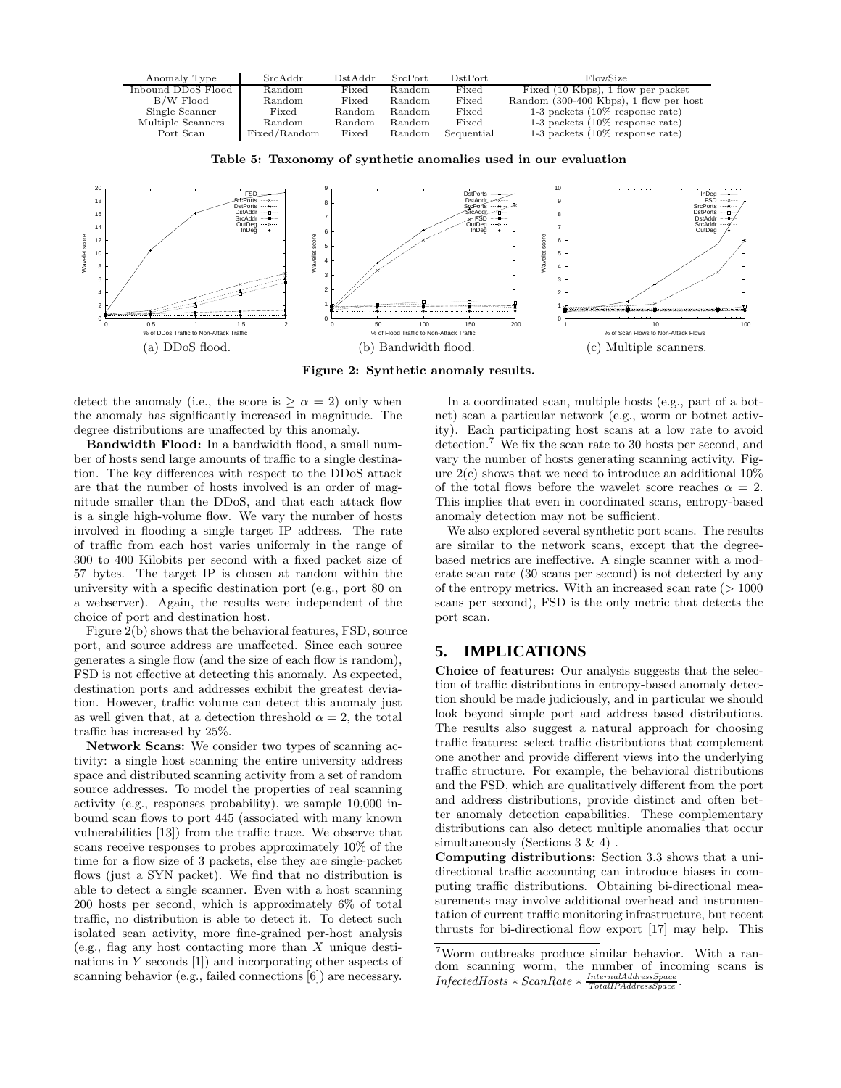

Table 5: Taxonomy of synthetic anomalies used in our evaluation



Figure 2: Synthetic anomaly results.

detect the anomaly (i.e., the score is  $\geq \alpha = 2$ ) only when the anomaly has significantly increased in magnitude. The degree distributions are unaffected by this anomaly.

Bandwidth Flood: In a bandwidth flood, a small number of hosts send large amounts of traffic to a single destination. The key differences with respect to the DDoS attack are that the number of hosts involved is an order of magnitude smaller than the DDoS, and that each attack flow is a single high-volume flow. We vary the number of hosts involved in flooding a single target IP address. The rate of traffic from each host varies uniformly in the range of 300 to 400 Kilobits per second with a fixed packet size of 57 bytes. The target IP is chosen at random within the university with a specific destination port (e.g., port 80 on a webserver). Again, the results were independent of the choice of port and destination host.

Figure 2(b) shows that the behavioral features, FSD, source port, and source address are unaffected. Since each source generates a single flow (and the size of each flow is random), FSD is not effective at detecting this anomaly. As expected, destination ports and addresses exhibit the greatest deviation. However, traffic volume can detect this anomaly just as well given that, at a detection threshold  $\alpha = 2$ , the total traffic has increased by 25%.

Network Scans: We consider two types of scanning activity: a single host scanning the entire university address space and distributed scanning activity from a set of random source addresses. To model the properties of real scanning activity (e.g., responses probability), we sample 10,000 inbound scan flows to port 445 (associated with many known vulnerabilities [13]) from the traffic trace. We observe that scans receive responses to probes approximately 10% of the time for a flow size of 3 packets, else they are single-packet flows (just a SYN packet). We find that no distribution is able to detect a single scanner. Even with a host scanning 200 hosts per second, which is approximately 6% of total traffic, no distribution is able to detect it. To detect such isolated scan activity, more fine-grained per-host analysis (e.g., flag any host contacting more than  $X$  unique destinations in Y seconds [1]) and incorporating other aspects of scanning behavior (e.g., failed connections [6]) are necessary.

In a coordinated scan, multiple hosts (e.g., part of a botnet) scan a particular network (e.g., worm or botnet activity). Each participating host scans at a low rate to avoid detection.<sup>7</sup> We fix the scan rate to 30 hosts per second, and vary the number of hosts generating scanning activity. Figure  $2(c)$  shows that we need to introduce an additional  $10\%$ of the total flows before the wavelet score reaches  $\alpha = 2$ . This implies that even in coordinated scans, entropy-based anomaly detection may not be sufficient.

We also explored several synthetic port scans. The results are similar to the network scans, except that the degreebased metrics are ineffective. A single scanner with a moderate scan rate (30 scans per second) is not detected by any of the entropy metrics. With an increased scan rate  $(>1000$ scans per second), FSD is the only metric that detects the port scan.

## **5. IMPLICATIONS**

Choice of features: Our analysis suggests that the selection of traffic distributions in entropy-based anomaly detection should be made judiciously, and in particular we should look beyond simple port and address based distributions. The results also suggest a natural approach for choosing traffic features: select traffic distributions that complement one another and provide different views into the underlying traffic structure. For example, the behavioral distributions and the FSD, which are qualitatively different from the port and address distributions, provide distinct and often better anomaly detection capabilities. These complementary distributions can also detect multiple anomalies that occur simultaneously (Sections  $3 \& 4$ ).

Computing distributions: Section 3.3 shows that a unidirectional traffic accounting can introduce biases in computing traffic distributions. Obtaining bi-directional measurements may involve additional overhead and instrumentation of current traffic monitoring infrastructure, but recent thrusts for bi-directional flow export [17] may help. This

<sup>7</sup>Worm outbreaks produce similar behavior. With a random scanning worm, the number of incoming scans is  $InfectedHosts * ScanRate * \frac{InternalAddressSpace}{TotalPAddressSpace}$ .